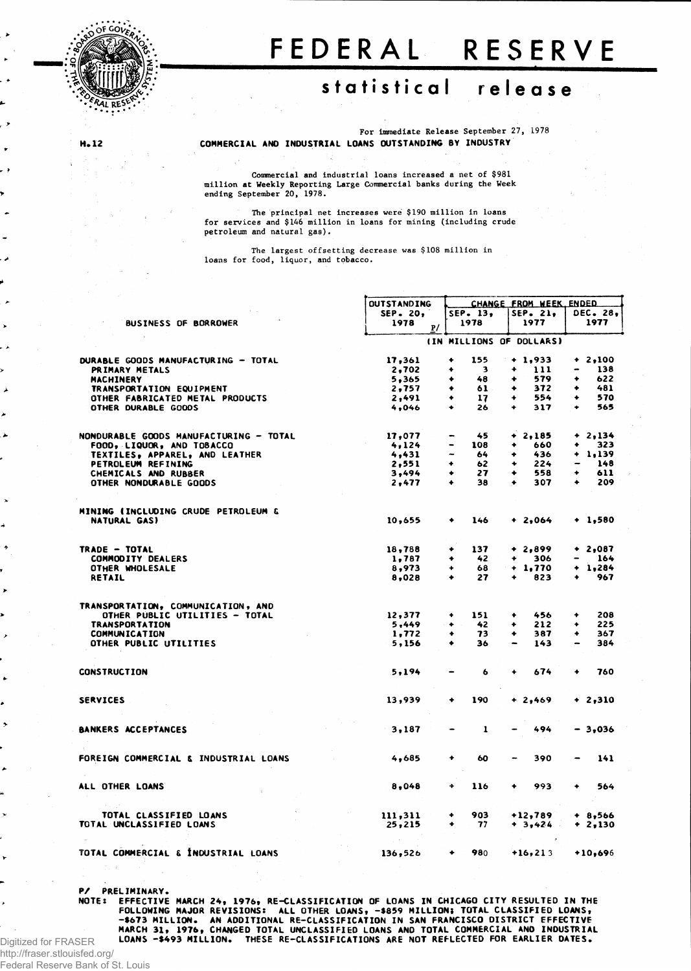

**He 12**

## FEDERA L RESERV E

## statistical release

**For immediate Release September 27, 1978 COMMERCIAL AND INDUSTRIAL LOANS OUTSTANDING BY INDUSTRY**

**Commercial and industrial loans increased a net of \$981 million at Weekly Reporting Large Commercial banks during the Week**

**ending September 20, 1978.**

**The principal net increases were \$190 million in loans for services and \$146 million in loans for mining (including crude petroleum and natural gas).**

**The largest offsetting decrease was \$108 million in loans for food, liquor, and tobacco.**

|                       |                                        | <b>OUTSTANDING</b> |                     | CHANGE FROM WEEK ENDED   |            |
|-----------------------|----------------------------------------|--------------------|---------------------|--------------------------|------------|
|                       |                                        | SEP. 20,           | SEP. 13.            | $SEP$ . 21,              | DEC. 28,   |
| $\blacktriangleright$ | BUSINESS OF BORROWER                   | 1978<br>P/         | 1978                | 1977                     | 1977       |
|                       |                                        |                    |                     | (IN MILLIONS OF DOLLARS) |            |
|                       |                                        | 17,361             | 155<br>٠            | $+ 1,933$                | $+2,100$   |
|                       | DURABLE GOODS MANUFACTURING - TOTAL    |                    |                     |                          |            |
| ≻                     | PRIMARY METALS                         | 2,702              | 3                   | 111<br>۰                 | 138        |
|                       | <b>MACHINERY</b>                       | 5,365              | 48                  | 579<br>۰                 | 622        |
| ▴                     | TRANSPORTATION EQUIPMENT               | 2,757              | 61                  | 372                      | 481        |
|                       | OTHER FABRICATED METAL PRODUCTS        | 2,491              | 17<br>۰             | 554                      | 570        |
|                       | OTHER DURABLE GOODS                    | 4,046              | 26<br>٠             | 317<br>٠                 | 565        |
| ⊁                     |                                        |                    |                     |                          |            |
| ▴                     | NONDURABLE GOODS MANUFACTURING - TOTAL | 17,077             | 45                  | $+2,185$                 | 2,134<br>۰ |
|                       | FOOD, LIQUOR, AND TOBACCO              | 4,124              | 108                 | 660                      | 323        |
|                       |                                        |                    |                     | 436                      | 1.139<br>۰ |
|                       | TEXTILES, APPAREL, AND LEATHER         | 4,431              | 64                  |                          |            |
|                       | PETROLEUM REFINING                     | 2,551              | 62                  | 224                      | 148        |
|                       | CHEMICALS AND RUBBER                   | 3,494              | 27<br>۰             | 558<br>۰                 | 611        |
|                       | OTHER NONDURABLE GOODS                 | 2,477              | 38<br>٠             | 307                      | 209<br>۰   |
| $\pmb{\lambda}$       |                                        |                    |                     |                          |            |
|                       | MINING (INCLUDING CRUDE PETROLEUM &    |                    |                     |                          |            |
| 4                     | NATURAL GAS)                           | 10,655             | 146                 | + 2,064                  | $+ 1,580$  |
|                       |                                        |                    |                     |                          |            |
| ۰                     | TRADE - TOTAL                          | 18,788             | 137<br>٠            | $+2,899$                 | $+2,087$   |
|                       | <b>COMMODITY DEALERS</b>               | 1,787              | 42<br>۰             | 306<br>۰                 | 164        |
|                       | OTHER WHOLESALE                        | 8,973              | 68<br>٠             | $+1,770$                 | 1,284<br>٠ |
|                       | RETAIL                                 | 8,028              | 27<br>۰             | 823                      | 967<br>۰   |
|                       |                                        |                    |                     |                          |            |
| $\blacktriangleright$ |                                        |                    |                     |                          |            |
|                       | TRANSPORTATION, COMMUNICATION, AND     |                    |                     |                          |            |
|                       | OTHER PUBLIC UTILITIES - TOTAL         | 12,377             | 151<br>۰            | 456<br>۰                 | 208<br>٠   |
|                       | <b>TRANSPORTATION</b>                  | 5,449              | 42<br>$\bullet$     | 212<br>٠                 | 225<br>۰   |
| ,                     | <b>COMMUNICATION</b>                   | 1,772              | 73<br>٠             | 387<br>۰                 | 367<br>٠   |
|                       | OTHER PUBLIC UTILITIES                 | 5,156              | 36<br>۰             | 143                      | 384        |
|                       |                                        |                    |                     |                          |            |
|                       | <b>CONSTRUCTION</b>                    | 5,194              | 6                   | 674<br>۰                 | 760<br>۰   |
| ٠                     |                                        |                    |                     |                          |            |
|                       |                                        |                    |                     |                          |            |
| ۰                     | <b>SERVICES</b>                        | 13,939             | 190<br>۰            | + 2,469                  | $+2,310$   |
|                       |                                        |                    |                     |                          |            |
|                       | BANKERS ACCEPTANCES                    | 3,187              | 1<br>$\blacksquare$ | 494                      | $-3,036$   |
|                       |                                        |                    |                     |                          |            |
|                       | FOREIGN COMMERCIAL & INDUSTRIAL LOANS  | 4,685              | 60<br>۰             | 390                      | 141        |
|                       |                                        |                    |                     |                          |            |
|                       |                                        |                    |                     |                          |            |
|                       | ALL OTHER LOANS                        | 8,048              | 116<br>4            | 993                      | 564<br>۰   |
|                       |                                        |                    |                     |                          |            |
|                       | TOTAL CLASSIFIED LOANS                 | 111,311            | 903<br>۰            | $+12,789$                | $+ 8,566$  |
|                       | TOTAL UNCLASSIFIED LOANS               | 25,215             | 77<br>۰             | $+3,424$                 | $+2,130$   |
|                       |                                        |                    |                     |                          |            |
| ۲                     | TOTAL COMMERCIAL & INDUSTRIAL LOANS    | 136,526            | 980<br>۰            | $+16, 213$               | $+10,696$  |
|                       |                                        |                    |                     |                          |            |

**P/ PRELIMINARY.**

NOTE: EFFECTIVE MARCH 24, 1976, RE-CLASSIFICATION OF LOANS IN CHICAGO CITY RESULTED IN THE<br>FOLLOWING MAJOR REVISIONS: ALL OTHER LOANS, -8859 MILLION; TOTAL CLASSIFIC LOANS,<br>FRANCISCO DISTRICT EFFECTIVE<br>MARCH 31, 1976, CHAN **LOANS -\$493 MILLION. THESE RE-CLASSIFICATIONS ARE NOT REFLECTED FOR EARLIER DATES.** Digitized for FRASER

http://fraser.stlouisfed.org/ Federal Reserve Bank of St. Louis